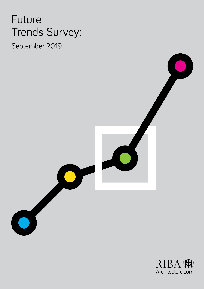# Future Trends Survey:

September 2019



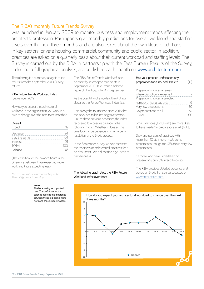## The RIBA's monthly Future Trends Survey

was launched in January 2009 to monitor business and employment trends affecting the architects' profession. Participants give monthly predictions for overall workload and staffing levels over the next three months, and are also asked about their workload predictions in key sectors: private housing, commercial, community and public sector. In addition, practices are asked on a quarterly basis about their current workload and staffing levels. The Survey is carried out by the RIBA in partnership with the Fees Bureau. Results of the Survey, including a full graphical analysis, are published each month on [www.architecture.com](http://www.architecture.com)

The following is a summary analysis of the results from the September 2019 Survey returns.

## RIBA Future Trends Workload Index

(September 2019)

How do you expect the architectural workload in the organisation you work in or own to change over the next three months?

| Overall       |    |
|---------------|----|
| Expect        |    |
| Decrease      | 24 |
| Stay the same |    |
| Increase      |    |
| <b>TOTAL</b>  |    |
| Balance       |    |

(The definition for the balance figure is the difference between those expecting more work and those expecting less.)

*\*'Increase' minus 'Decrease' does not equal the 'Balance' figure due to rounding.*

#### **Notes**

The balance figure is plotted here. The definition for the balance figure is the difference between those expecting more work and those expecting less.

The RIBA Future Trends Workload Index balance figure dropped four points in September 2019. It fell from a balance figure of 0 in August to -4 in September.

As the possibility of a no-deal Brexit draws closer, so the Future Workload Index falls.

This is only the fourth time since 2013 that the index has fallen into negative territory. On the three previous occasions, the index recovered to a positive balance in the following month. Whether it does so this time looks to be dependent on an orderly resolution of the Brexit process.

In the September survey, we also assessed the readiness of architectural practices for a no-deal Brexit. We did not find high levels of preparedness.

The following graph plots the RIBA Future Workload index over time:

| Has your practice undertaken any<br>preparation for a 'no-deal' Brexit? | $(\%)$ |
|-------------------------------------------------------------------------|--------|
| Preparations across all areas                                           |        |
| where disruption is expected<br>Preparations across a selected          |        |
| number of key areas only<br>Very few preparations                       | 30     |
| No preparations at all                                                  |        |
|                                                                         |        |

Small practices (1 - 10 staff) are more likely to have made 'no preparations at all' (60%).

Sixty-one per cent of practices with more than 10 staff have made some preparations, though for 43% this is 'very few preparations'.

Of those who have undertaken no preparations, only 5% intend to do so.

The RIBA provides detailed guidance and advice on Brexit that can be accessed on [www.architecture.com](https://www.architecture.com/about/riba-brexit-briefing).

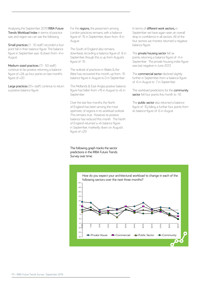Analysing the September 2019 RIBA Future Trends Workload Index in terms of practice size, and region we can see the following:

Small practices (1 - 10 staff) recorded a fourpoint fall in their balance figure. The balance figure in September was -8, down from -4 in August.

Medium-sized practices (11 - 50 staff) continue to be positive, returning a balance figure of +24, up four points on last month's figure of  $+20$ .

Large practices (51+ staff) continue to return a positive balance figure.

For the **regions**, the pessimism among London practices remains, with a balance figure of -15 in September, down from -8 in August.

The South of England also remains downbeat, recording a balance figure of -8 in September, though this is up from August's figure of -15.

The outlook of practices in Wales & the West has recovered this month, up from -15 balance figure in August to 0 in September.

The Midlands & East Anglia positive balance figure has fallen from +19 in August to +6 in September.

Over the last few months, the North of England has been among the most optimistic of regions in its workload outlook. This remains true. However, its positive balance has reduced this month. The North of England returned a +6 balance figure in September, markedly down on August's figure of +29.

The following graph tracks the sector predictions in the RIBA Future Trends Survey over time:

In terms of **different work sectors**, in

September we have again seen an overall drop in confidence in all sectors. All of the four sectors we monitor returned a negative balance figure.

The private housing sector fell six points, returning a balance figure of -4 in September. The private housing index figure was last negative in June 2012.

The **commercial sector** declined slightly further in September, from a balance figure of -6 in August to -7 in September.

The workload predictions for the community sector fell four points this month to -10.

The **public sector** also returned a balance figure of -10, falling a further four points from its balance figure of -6 in August.